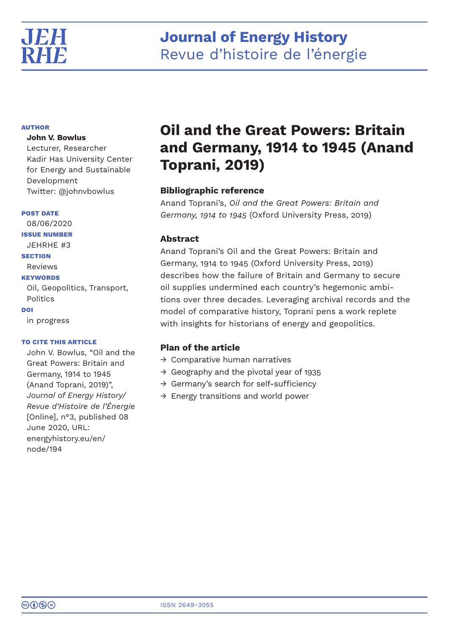

# **Journal of Energy History** Revue d'histoire de l'énergie

# **AUTHOR**

# **John V. Bowlus**

Lecturer, Researcher Kadir Has University Center for Energy and Sustainable Development Twitter: @johnvbowlus

## **POST DATE**

08/06/2020 **ISSUE NUMBER** JEHRHE #3 **SECTION** Reviews **KEYWORDS** Oil, Geopolitics, Transport, **Politics DOI** in progress

# **TO CITE THIS ARTICLE**

John V. Bowlus, "Oil and the Great Powers: Britain and Germany, 1914 to 1945 (Anand Toprani, 2019)", *Journal of Energy History/ Revue d'Histoire de l'Énergie* [Online], n°3, published 08 June 2020, URL: energyhistory.eu/en/ node/194

# **Oil and the Great Powers: Britain and Germany, 1914 to 1945 (Anand Toprani, 2019)**

# **Bibliographic reference**

Anand Toprani's, *Oil and the Great Powers: Britain and Germany, 1914 to 1945* (Oxford University Press, 2019)

# **Abstract**

Anand Toprani's Oil and the Great Powers: Britain and Germany, 1914 to 1945 (Oxford University Press, 2019) describes how the failure of Britain and Germany to secure oil supplies undermined each country's hegemonic ambitions over three decades. Leveraging archival records and the model of comparative history, Toprani pens a work replete with insights for historians of energy and geopolitics.

# **Plan of the article**

- $\rightarrow$  Comparative human narratives
- $\rightarrow$  Geography and the pivotal year of 1935
- → Germany's search for self-sufficiency
- $\rightarrow$  Energy transitions and world power

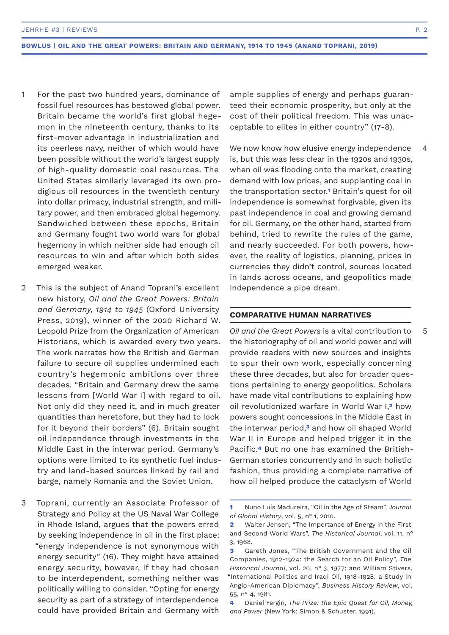- For the past two hundred years, dominance of fossil fuel resources has bestowed global power. Britain became the world's first global hegemon in the nineteenth century, thanks to its first-mover advantage in industrialization and its peerless navy, neither of which would have been possible without the world's largest supply of high-quality domestic coal resources. The United States similarly leveraged its own prodigious oil resources in the twentieth century into dollar primacy, industrial strength, and military power, and then embraced global hegemony. Sandwiched between these epochs, Britain and Germany fought two world wars for global hegemony in which neither side had enough oil resources to win and after which both sides emerged weaker. 1
- This is the subject of Anand Toprani's excellent new history, *Oil and the Great Powers: Britain and Germany, 1914 to 1945* (Oxford University Press, 2019), winner of the 2020 Richard W. Leopold Prize from the Organization of American Historians, which is awarded every two years. The work narrates how the British and German failure to secure oil supplies undermined each country's hegemonic ambitions over three decades. "Britain and Germany drew the same lessons from [World War I] with regard to oil. Not only did they need it, and in much greater quantities than heretofore, but they had to look for it beyond their borders" (6). Britain sought oil independence through investments in the Middle East in the interwar period. Germany's options were limited to its synthetic fuel industry and land-based sources linked by rail and barge, namely Romania and the Soviet Union.  $\mathfrak{D}$
- Toprani, currently an Associate Professor of Strategy and Policy at the US Naval War College in Rhode Island, argues that the powers erred by seeking independence in oil in the first place: "energy independence is not synonymous with energy security" (16). They might have attained energy security, however, if they had chosen to be interdependent, something neither was politically willing to consider. "Opting for energy security as part of a strategy of interdependence could have provided Britain and Germany with 3

ample supplies of energy and perhaps guaranteed their economic prosperity, but only at the cost of their political freedom. This was unacceptable to elites in either country" (17-8).

We now know how elusive energy independence is, but this was less clear in the 1920s and 1930s, when oil was flooding onto the market, creating demand with low prices, and supplanting coal in the transportation sector.**<sup>1</sup>** Britain's quest for oil independence is somewhat forgivable, given its past independence in coal and growing demand for oil. Germany, on the other hand, started from behind, tried to rewrite the rules of the game, and nearly succeeded. For both powers, however, the reality of logistics, planning, prices in currencies they didn't control, sources located in lands across oceans, and geopolitics made independence a pipe dream.

#### **COMPARATIVE HUMAN NARRATIVES**

*Oil and the Great Powers* is a vital contribution to the historiography of oil and world power and will provide readers with new sources and insights to spur their own work, especially concerning these three decades, but also for broader questions pertaining to energy geopolitics. Scholars have made vital contributions to explaining how oil revolutionized warfare in World War I,**2** how powers sought concessions in the Middle East in the interwar period,**3** and how oil shaped World War II in Europe and helped trigger it in the Pacific.**4** But no one has examined the British-German stories concurrently and in such holistic fashion, thus providing a complete narrative of how oil helped produce the cataclysm of World

4

5

**<sup>1</sup>** Nuno Luís Madureira, "Oil in the Age of Steam", *Journal of Global History*, vol. 5, n° 1, 2010.

**<sup>2</sup>** Walter Jensen, "The Importance of Energy in the First and Second World Wars", *The Historical Journal*, vol. 11, n° 3, 1968.

**<sup>3</sup>** Gareth Jones, "The British Government and the Oil Companies, 1912-1924: the Search for an Oil Policy", *The Historical Journal*, vol. 20, n° 3, 1977; and William Stivers, "International Politics and Iraqi Oil, 1918-1928: a Study in Anglo-American Diplomacy", *Business History Review*, vol. 55, n° 4, 1981.

**<sup>4</sup>** Daniel Yergin, *The Prize: the Epic Quest for Oil, Money, and Power* (New York: Simon & Schuster, 1991).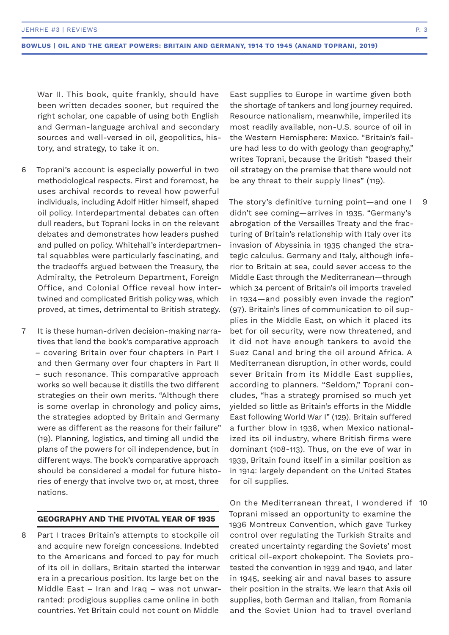War II. This book, quite frankly, should have been written decades sooner, but required the right scholar, one capable of using both English and German-language archival and secondary sources and well-versed in oil, geopolitics, history, and strategy, to take it on.

- Toprani's account is especially powerful in two methodological respects. First and foremost, he uses archival records to reveal how powerful individuals, including Adolf Hitler himself, shaped oil policy. Interdepartmental debates can often dull readers, but Toprani locks in on the relevant debates and demonstrates how leaders pushed and pulled on policy. Whitehall's interdepartmental squabbles were particularly fascinating, and the tradeoffs argued between the Treasury, the Admiralty, the Petroleum Department, Foreign Office, and Colonial Office reveal how intertwined and complicated British policy was, which proved, at times, detrimental to British strategy. 6
- It is these human-driven decision-making narratives that lend the book's comparative approach – covering Britain over four chapters in Part I and then Germany over four chapters in Part II – such resonance. This comparative approach works so well because it distills the two different strategies on their own merits. "Although there is some overlap in chronology and policy aims, the strategies adopted by Britain and Germany were as different as the reasons for their failure" (19). Planning, logistics, and timing all undid the plans of the powers for oil independence, but in different ways. The book's comparative approach should be considered a model for future histories of energy that involve two or, at most, three nations. 7

## **GEOGRAPHY AND THE PIVOTAL YEAR OF 1935**

Part I traces Britain's attempts to stockpile oil and acquire new foreign concessions. Indebted to the Americans and forced to pay for much of its oil in dollars, Britain started the interwar era in a precarious position. Its large bet on the Middle East – Iran and Iraq – was not unwarranted: prodigious supplies came online in both countries. Yet Britain could not count on Middle 8

East supplies to Europe in wartime given both the shortage of tankers and long journey required. Resource nationalism, meanwhile, imperiled its most readily available, non-U.S. source of oil in the Western Hemisphere: Mexico. "Britain's failure had less to do with geology than geography," writes Toprani, because the British "based their oil strategy on the premise that there would not be any threat to their supply lines" (119).

The story's definitive turning point—and one I didn't see coming—arrives in 1935. "Germany's abrogation of the Versailles Treaty and the fracturing of Britain's relationship with Italy over its invasion of Abyssinia in 1935 changed the strategic calculus. Germany and Italy, although inferior to Britain at sea, could sever access to the Middle East through the Mediterranean—through which 34 percent of Britain's oil imports traveled in 1934—and possibly even invade the region" (97). Britain's lines of communication to oil supplies in the Middle East, on which it placed its bet for oil security, were now threatened, and it did not have enough tankers to avoid the Suez Canal and bring the oil around Africa. A Mediterranean disruption, in other words, could sever Britain from its Middle East supplies, according to planners. "Seldom," Toprani concludes, "has a strategy promised so much yet yielded so little as Britain's efforts in the Middle East following World War I" (129). Britain suffered a further blow in 1938, when Mexico nationalized its oil industry, where British firms were dominant (108-113). Thus, on the eve of war in 1939, Britain found itself in a similar position as in 1914: largely dependent on the United States for oil supplies.

On the Mediterranean threat, I wondered if 10Toprani missed an opportunity to examine the 1936 Montreux Convention, which gave Turkey control over regulating the Turkish Straits and created uncertainty regarding the Soviets' most critical oil-export chokepoint. The Soviets protested the convention in 1939 and 1940, and later in 1945, seeking air and naval bases to assure their position in the straits. We learn that Axis oil supplies, both German and Italian, from Romania and the Soviet Union had to travel overland

9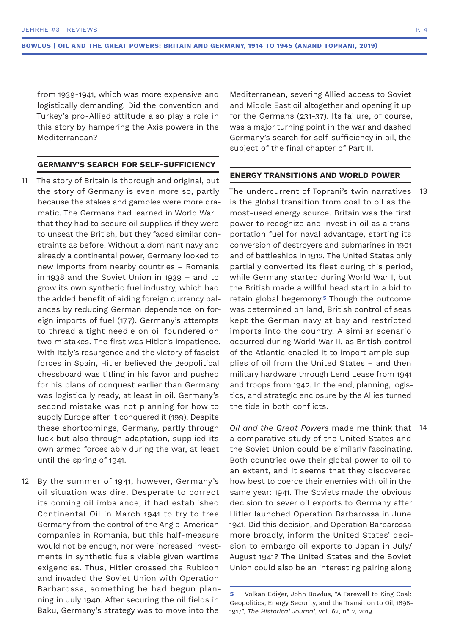from 1939-1941, which was more expensive and logistically demanding. Did the convention and Turkey's pro-Allied attitude also play a role in this story by hampering the Axis powers in the Mediterranean?

#### **GERMANY'S SEARCH FOR SELF-SUFFICIENCY**

- The story of Britain is thorough and original, but the story of Germany is even more so, partly because the stakes and gambles were more dramatic. The Germans had learned in World War I that they had to secure oil supplies if they were to unseat the British, but they faced similar constraints as before. Without a dominant navy and already a continental power, Germany looked to new imports from nearby countries – Romania in 1938 and the Soviet Union in 1939 – and to grow its own synthetic fuel industry, which had the added benefit of aiding foreign currency balances by reducing German dependence on foreign imports of fuel (177). Germany's attempts to thread a tight needle on oil foundered on two mistakes. The first was Hitler's impatience. With Italy's resurgence and the victory of fascist forces in Spain, Hitler believed the geopolitical chessboard was titling in his favor and pushed for his plans of conquest earlier than Germany was logistically ready, at least in oil. Germany's second mistake was not planning for how to supply Europe after it conquered it (199). Despite these shortcomings, Germany, partly through luck but also through adaptation, supplied its own armed forces ably during the war, at least until the spring of 1941. 11
- By the summer of 1941, however, Germany's oil situation was dire. Desperate to correct its coming oil imbalance, it had established Continental Oil in March 1941 to try to free Germany from the control of the Anglo-American companies in Romania, but this half-measure would not be enough, nor were increased investments in synthetic fuels viable given wartime exigencies. Thus, Hitler crossed the Rubicon and invaded the Soviet Union with Operation Barbarossa, something he had begun planning in July 1940. After securing the oil fields in Baku, Germany's strategy was to move into the 12

Mediterranean, severing Allied access to Soviet and Middle East oil altogether and opening it up for the Germans (231-37). Its failure, of course, was a major turning point in the war and dashed Germany's search for self-sufficiency in oil, the subject of the final chapter of Part II.

#### **ENERGY TRANSITIONS AND WORLD POWER**

The undercurrent of Toprani's twin narratives is the global transition from coal to oil as the most-used energy source. Britain was the first power to recognize and invest in oil as a transportation fuel for naval advantage, starting its conversion of destroyers and submarines in 1901 and of battleships in 1912. The United States only partially converted its fleet during this period, while Germany started during World War I, but the British made a willful head start in a bid to retain global hegemony.**5** Though the outcome was determined on land, British control of seas kept the German navy at bay and restricted imports into the country. A similar scenario occurred during World War II, as British control of the Atlantic enabled it to import ample supplies of oil from the United States – and then military hardware through Lend Lease from 1941 and troops from 1942. In the end, planning, logistics, and strategic enclosure by the Allies turned the tide in both conflicts. 13

*Oil and the Great Powers* made me think that 14a comparative study of the United States and the Soviet Union could be similarly fascinating. Both countries owe their global power to oil to an extent, and it seems that they discovered how best to coerce their enemies with oil in the same year: 1941. The Soviets made the obvious decision to sever oil exports to Germany after Hitler launched Operation Barbarossa in June 1941. Did this decision, and Operation Barbarossa more broadly, inform the United States' decision to embargo oil exports to Japan in July/ August 1941? The United States and the Soviet Union could also be an interesting pairing along

**<sup>5</sup>** Volkan Ediger, John Bowlus, "A Farewell to King Coal: Geopolitics, Energy Security, and the Transition to Oil, 1898- 1917", *The Historical Journal*, vol. 62, n° 2, 2019.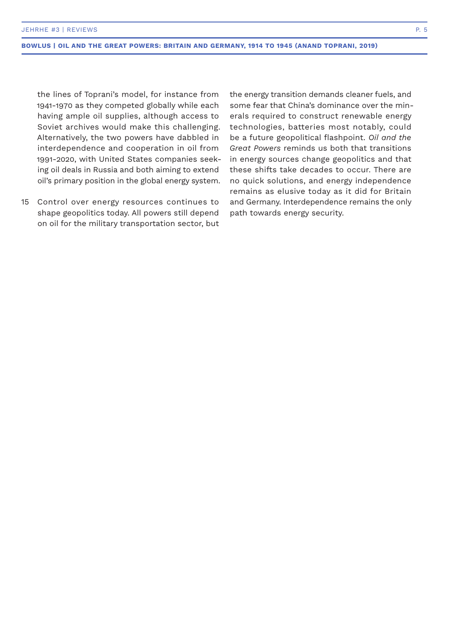the lines of Toprani's model, for instance from 1941-1970 as they competed globally while each having ample oil supplies, although access to Soviet archives would make this challenging. Alternatively, the two powers have dabbled in interdependence and cooperation in oil from 1991-2020, with United States companies seeking oil deals in Russia and both aiming to extend oil's primary position in the global energy system.

Control over energy resources continues to 15shape geopolitics today. All powers still depend on oil for the military transportation sector, but

the energy transition demands cleaner fuels, and some fear that China's dominance over the minerals required to construct renewable energy technologies, batteries most notably, could be a future geopolitical flashpoint. *Oil and the Great Powers* reminds us both that transitions in energy sources change geopolitics and that these shifts take decades to occur. There are no quick solutions, and energy independence remains as elusive today as it did for Britain and Germany. Interdependence remains the only path towards energy security.